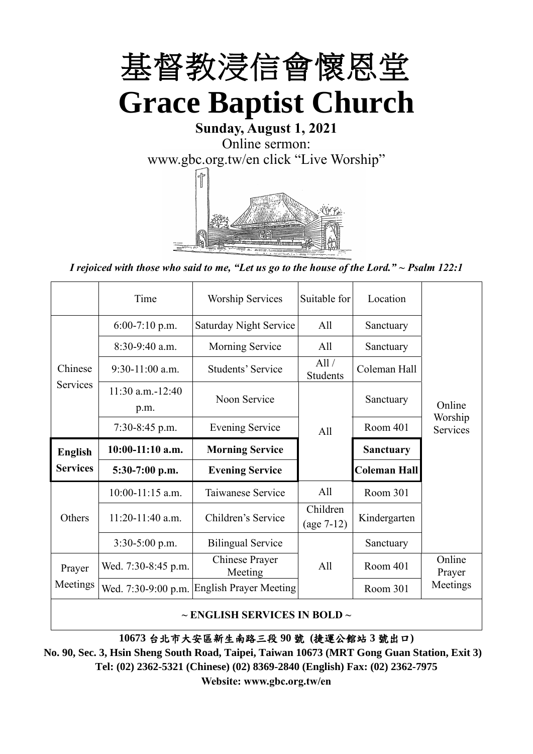

**Sunday, August 1, 2021** Online sermon: [www.gbc.org.tw/en](http://www.gbc.org.tw/en) click "Live Worship"



*I rejoiced with those who said to me, "Let us go to the house of the Lord." ~ Psalm 122:1*

|                 | Time                     | <b>Worship Services</b>          | Suitable for             | Location            |                     |
|-----------------|--------------------------|----------------------------------|--------------------------|---------------------|---------------------|
|                 | $6:00-7:10$ p.m.         | Saturday Night Service           | All                      | Sanctuary           |                     |
|                 | $8:30-9:40$ a.m.         | <b>Morning Service</b>           | All                      | Sanctuary           |                     |
| Chinese         | $9:30-11:00$ a.m.        | Students' Service                | All/<br><b>Students</b>  | Coleman Hall        |                     |
| Services        | 11:30 a.m.-12:40<br>p.m. | Noon Service                     |                          | Sanctuary           | Online              |
|                 | $7:30-8:45$ p.m.         | <b>Evening Service</b>           | All                      | Room 401            | Worship<br>Services |
| <b>English</b>  | $10:00-11:10$ a.m.       | <b>Morning Service</b>           |                          | <b>Sanctuary</b>    |                     |
| <b>Services</b> |                          |                                  |                          |                     |                     |
|                 | $5:30-7:00$ p.m.         | <b>Evening Service</b>           |                          | <b>Coleman Hall</b> |                     |
|                 | $10:00-11:15$ a.m.       | Taiwanese Service                | A11                      | Room 301            |                     |
| Others          | $11:20-11:40$ a.m.       | Children's Service               | Children<br>$(age 7-12)$ | Kindergarten        |                     |
|                 | $3:30-5:00$ p.m.         | <b>Bilingual Service</b>         |                          | Sanctuary           |                     |
| Prayer          | Wed. 7:30-8:45 p.m.      | <b>Chinese Prayer</b><br>Meeting | A11                      | Room 401            | Online<br>Prayer    |
| Meetings        | Wed. 7:30-9:00 p.m.      | <b>English Prayer Meeting</b>    |                          | Room 301            | Meetings            |

**10673** 台北市大安區新生南路三段 **90** 號 **(**捷運公館站 **3** 號出口**)**

**No. 90, Sec. 3, Hsin Sheng South Road, Taipei, Taiwan 10673 (MRT Gong Guan Station, Exit 3) Tel: (02) 2362-5321 (Chinese) (02) 8369-2840 (English) Fax: (02) 2362-7975**

**Website: www.gbc.org.tw/en**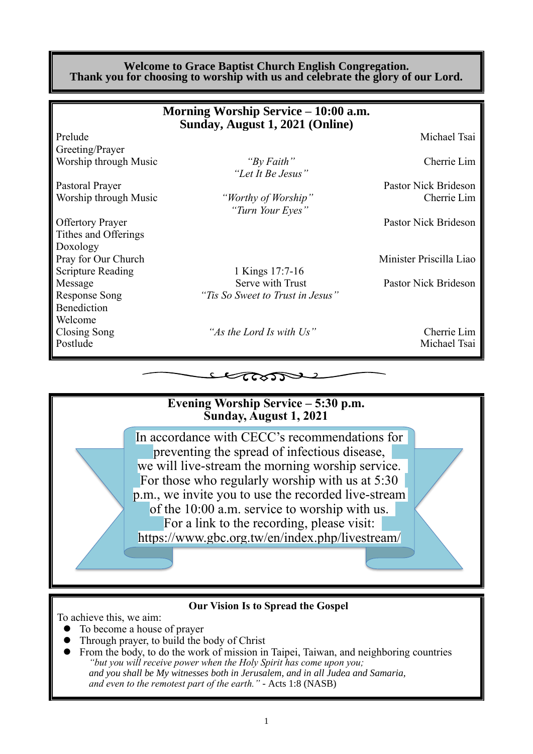#### **Welcome to Grace Baptist Church English Congregation. Thank you for choosing to worship with us and celebrate the glory of our Lord.**

|                          | Morning Worship Service – 10:00 a.m.<br>Sunday, August 1, 2021 (Online) |                         |
|--------------------------|-------------------------------------------------------------------------|-------------------------|
| Prelude                  |                                                                         | Michael Tsai            |
| Greeting/Prayer          |                                                                         |                         |
| Worship through Music    | "By Faith"                                                              | Cherrie Lim             |
|                          | "Let It Be Jesus"                                                       |                         |
| Pastoral Prayer          |                                                                         | Pastor Nick Brideson    |
| Worship through Music    | "Worthy of Worship"<br>"Turn Your Eyes"                                 | Cherrie Lim             |
| <b>Offertory Prayer</b>  |                                                                         | Pastor Nick Brideson    |
| Tithes and Offerings     |                                                                         |                         |
| Doxology                 |                                                                         |                         |
| Pray for Our Church      |                                                                         | Minister Priscilla Liao |
| <b>Scripture Reading</b> | 1 Kings 17:7-16                                                         |                         |
| Message                  | Serve with Trust                                                        | Pastor Nick Brideson    |
| <b>Response Song</b>     | "Tis So Sweet to Trust in Jesus"                                        |                         |
| Benediction              |                                                                         |                         |
| Welcome                  |                                                                         |                         |
| Closing Song             | "As the Lord Is with Us"                                                | Cherrie Lim             |
| Postlude                 |                                                                         | Michael Tsai            |



### **Our Vision Is to Spread the Gospel**

To achieve this, we aim:

- ⚫ To become a house of prayer
- ⚫ Through prayer, to build the body of Christ
- ⚫ From the body, to do the work of mission in Taipei, Taiwan, and neighboring countries *"but you will receive power when the Holy Spirit has come upon you; and you shall be My witnesses both in Jerusalem, and in all Judea and Samaria, and even to the remotest part of the earth." -* Acts 1:8 (NASB)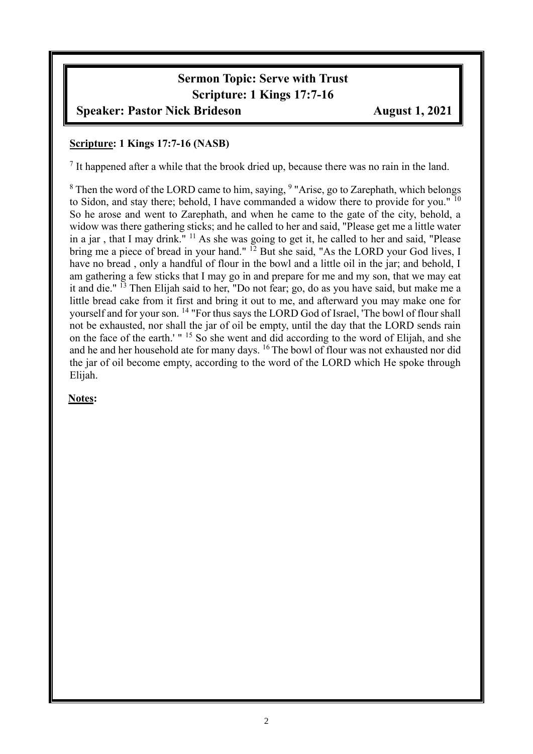# **Sermon Topic: Serve with Trust Scripture: 1 Kings 17:7-16**

### **Speaker: Pastor Nick Brideson August 1, 2021**

### **Scripture: 1 Kings 17:7-16 (NASB)**

 $<sup>7</sup>$  It happened after a while that the brook dried up, because there was no rain in the land.</sup>

 $8$  Then the word of the LORD came to him, saying,  $9$  "Arise, go to Zarephath, which belongs to Sidon, and stay there; behold, I have commanded a widow there to provide for you."  $10$ So he arose and went to Zarephath, and when he came to the gate of the city, behold, a widow was there gathering sticks; and he called to her and said, "Please get me a little water in a jar, that I may drink."<sup>11</sup> As she was going to get it, he called to her and said, "Please bring me a piece of bread in your hand." <sup>12</sup> But she said, "As the LORD your God lives, I have no bread, only a handful of flour in the bowl and a little oil in the jar; and behold, I am gathering a few sticks that I may go in and prepare for me and my son, that we may eat it and die." <sup>13</sup> Then Elijah said to her, "Do not fear; go, do as you have said, but make me a little bread cake from it first and bring it out to me, and afterward you may make one for yourself and for your son. <sup>14</sup> "For thus says the LORD God of Israel, 'The bowl of flour shall not be exhausted, nor shall the jar of oil be empty, until the day that the LORD sends rain on the face of the earth.' " <sup>15</sup> So she went and did according to the word of Elijah, and she and he and her household ate for many days. <sup>16</sup> The bowl of flour was not exhausted nor did the jar of oil become empty, according to the word of the LORD which He spoke through Elijah.

**Notes:**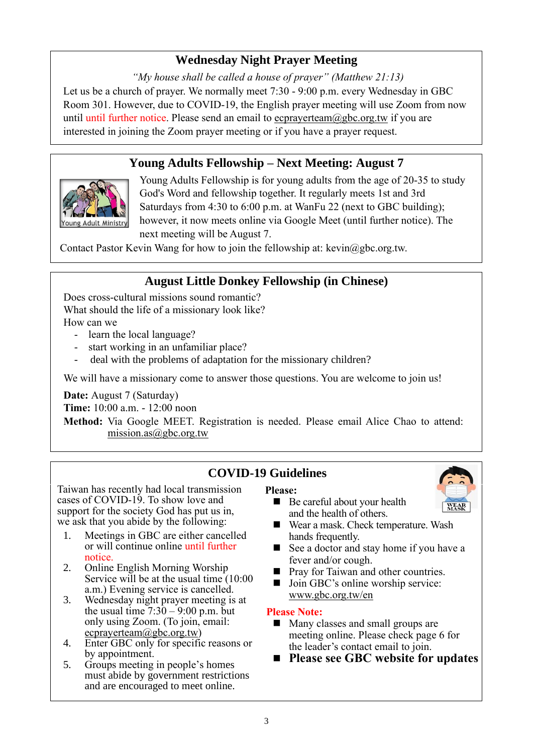# **Wednesday Night Prayer Meeting**

*"My house shall be called a house of prayer" (Matthew 21:13)* Let us be a church of prayer. We normally meet 7:30 - 9:00 p.m. every Wednesday in GBC Room 301. However, due to COVID-19, the English prayer meeting will use Zoom from now until until further notice. Please send an email to  $e_{\text{cprav}}$ erteam $\omega_{\text{g}}$ bc.org.tw if you are interested in joining the Zoom prayer meeting or if you have a prayer request.

### **Young Adults Fellowship – Next Meeting: August 7**



Young Adults Fellowship is for young adults from the age of 20-35 to study God's Word and fellowship together. It regularly meets 1st and 3rd Saturdays from 4:30 to 6:00 p.m. at WanFu 22 (next to GBC building); however, it now meets online via Google Meet (until further notice). The next meeting will be August 7.

Contact Pastor Kevin Wang for how to join the fellowship at: [kevin@gbc.org.tw.](mailto:kevin@gbc.org.tw)

### **August Little Donkey Fellowship (in Chinese)**

Does cross-cultural missions sound romantic? What should the life of a missionary look like? How can we

- learn the local language?
- start working in an unfamiliar place?
- deal with the problems of adaptation for the missionary children?

We will have a missionary come to answer those questions. You are welcome to join us!

**Date:** August 7 (Saturday) **Time:** 10:00 a.m. - 12:00 noon

**Method:** Via Google MEET. Registration is needed. Please email Alice Chao to attend: mission.as@gbc.org.tw

### **COVID-19 Guidelines**

Taiwan has recently had local transmission cases of COVID-19. To show love and support for the society God has put us in, we ask that you abide by the following:

- 1. Meetings in GBC are either cancelled or will continue online until further notice.
- 2. Online English Morning Worship Service will be at the usual time (10:00 a.m.) Evening service is cancelled.
- 3. Wednesday night prayer meeting is at the usual time  $7:30 - 9:00$  p.m. but only using Zoom. (To join, email: ecprayerteam@gbc.org.tw)
- 4. Enter GBC only for specific reasons or by appointment.
- 5. Groups meeting in people's homes must abide by government restrictions and are encouraged to meet online.

#### **Please:**

■ Be careful about your health and the health of others.



- 
- Wear a mask. Check temperature. Wash hands frequently.
- See a doctor and stay home if you have a fever and/or cough.
- Pray for Taiwan and other countries.
- Join GBC's online worship service: www.gbc.org.tw/en

#### **Please Note:**

- Many classes and small groups are meeting online. Please check page 6 for the leader's contact email to join.
- ◼ **Please see GBC website for updates**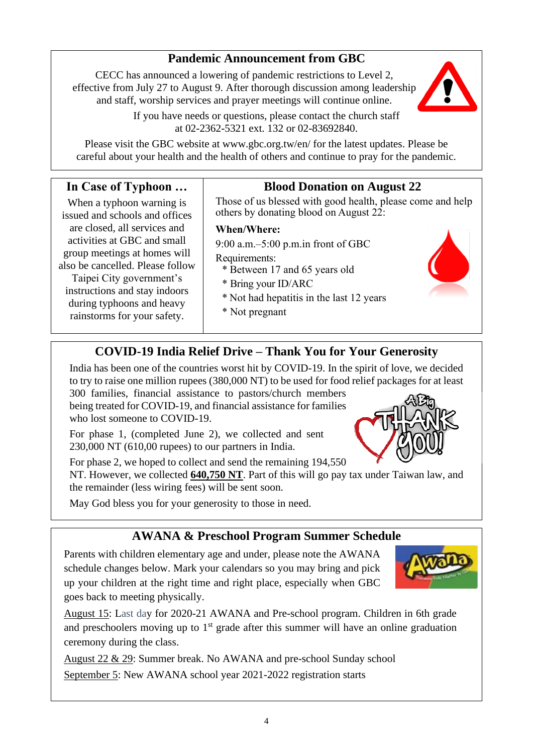### **Pandemic Announcement from GBC**

CECC has announced a lowering of pandemic restrictions to Level 2, effective from July 27 to August 9. After thorough discussion among leadership and staff, worship services and prayer meetings will continue online.

> If you have needs or questions, please contact the church staff at 02-2362-5321 ext. 132 or 02-83692840.

Please visit the GBC website at www.gbc.org.tw/en/ for the latest updates. Please be careful about your health and the health of others and continue to pray for the pandemic.

### **In Case of Typhoon …**

When a typhoon warning is issued and schools and offices are closed, all services and activities at GBC and small group meetings at homes will also be cancelled. Please follow Taipei City government's instructions and stay indoors during typhoons and heavy rainstorms for your safety.

### **Blood Donation on August 22**

Those of us blessed with good health, please come and help others by donating blood on August  $22$ :

#### **When/Where:**

9:00 a.m.–5:00 p.m.in front of GBC Requirements:

- \* Between 17 and 65 years old
- \* Bring your ID/ARC
- \* Not had hepatitis in the last 12 years
- \* Not pregnant

# **COVID-19 India Relief Drive – Thank You for Your Generosity**

India has been one of the countries worst hit by COVID-19. In the spirit of love, we decided to try to raise one million rupees (380,000 NT) to be used for food relief packages for at least

300 families, financial assistance to pastors/church members being treated for COVID-19, and financial assistance for families who lost someone to COVID-19.

For phase 1, (completed June 2), we collected and sent 230,000 NT (610,00 rupees) to our partners in India.

For phase 2, we hoped to collect and send the remaining 194,550

NT. However, we collected **640,750 NT**. Part of this will go pay tax under Taiwan law, and the remainder (less wiring fees) will be sent soon.

May God bless you for your generosity to those in need.

# **AWANA & Preschool Program Summer Schedule**

Parents with children elementary age and under, please note the AWANA schedule changes below. Mark your calendars so you may bring and pick up your children at the right time and right place, especially when GBC goes back to meeting physically.

August 15: Last day for 2020-21 AWANA and Pre-school program. Children in 6th grade and preschoolers moving up to  $1<sup>st</sup>$  grade after this summer will have an online graduation ceremony during the class.

August 22 & 29: Summer break. No AWANA and pre-school Sunday school September 5: New AWANA school year 2021-2022 registration starts





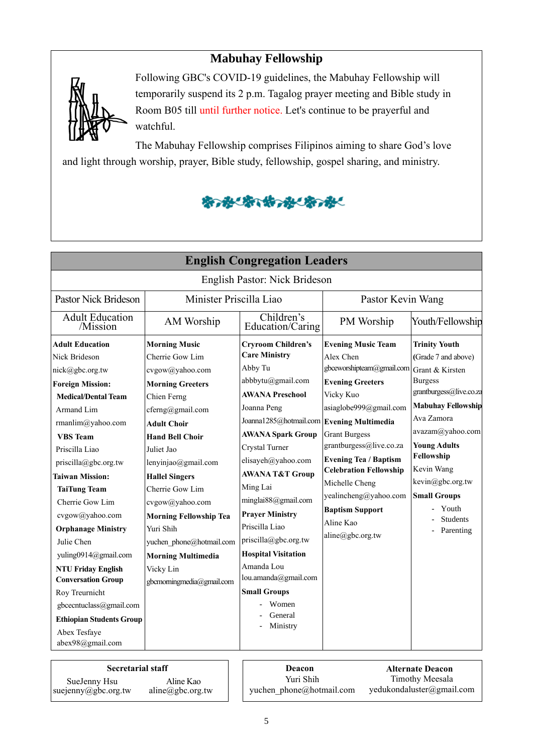# **Mabuhay Fellowship**



Following GBC's COVID-19 guidelines, the Mabuhay Fellowship will temporarily suspend its 2 p.m. Tagalog prayer meeting and Bible study in Room B05 till until further notice. Let's continue to be prayerful and watchful.

The Mabuhay Fellowship comprises Filipinos aiming to share God's love and light through worship, prayer, Bible study, fellowship, gospel sharing, and ministry.



|                                    |                               | <b>English Congregation Leaders</b>       |                               |                              |
|------------------------------------|-------------------------------|-------------------------------------------|-------------------------------|------------------------------|
|                                    |                               | English Pastor: Nick Brideson             |                               |                              |
| <b>Pastor Nick Brideson</b>        | Minister Priscilla Liao       |                                           | Pastor Kevin Wang             |                              |
| <b>Adult Education</b><br>/Mission | AM Worship                    | Children's<br>Education/Caring            | PM Worship                    | Youth/Fellowship             |
| <b>Adult Education</b>             | <b>Morning Music</b>          | <b>Cryroom Children's</b>                 | <b>Evening Music Team</b>     | <b>Trinity Youth</b>         |
| Nick Brideson                      | Cherrie Gow Lim               | <b>Care Ministry</b>                      | Alex Chen                     | (Grade 7 and above)          |
| nick@gbc.org.tw                    | cvgow@yahoo.com               | Abby Tu                                   | gbceworshipteam@gmail.com     | Grant & Kirsten              |
| <b>Foreign Mission:</b>            | <b>Morning Greeters</b>       | abbbytu@gmail.com                         | <b>Evening Greeters</b>       | <b>Burgess</b>               |
| <b>Medical/Dental Team</b>         | Chien Ferng                   | <b>AWANA Preschool</b>                    | Vicky Kuo                     | grantburgess@live.co.za      |
| Armand Lim                         | cferng@gmail.com              | Joanna Peng                               | asiaglobe999@gmail.com        | <b>Mabuhay Fellowship</b>    |
| rmanlim@yahoo.com                  | <b>Adult Choir</b>            | Joanna1285@hotmail.com Evening Multimedia |                               | Ava Zamora                   |
| <b>VBS</b> Team                    | <b>Hand Bell Choir</b>        | <b>AWANA Spark Group</b>                  | <b>Grant Burgess</b>          | avazam@yahoo.com             |
| Priscilla Liao                     | Juliet Jao                    | Crystal Turner                            | grantburgess@live.co.za       | <b>Young Adults</b>          |
| $priscilla(\partial gbc.org.tw)$   | lenyinjao@gmail.com           | elisayeh@yahoo.com                        | <b>Evening Tea / Baptism</b>  | Fellowship                   |
| <b>Taiwan Mission:</b>             | <b>Hallel Singers</b>         | <b>AWANA T&amp;T Group</b>                | <b>Celebration Fellowship</b> | Kevin Wang                   |
| <b>TaiTung Team</b>                | Cherrie Gow Lim               | Ming Lai                                  | Michelle Cheng                | kevin@gbc.org.tw             |
| Cherrie Gow Lim                    | cvgow@yahoo.com               | minglai88@gmail.com                       | yealincheng@yahoo.com         | <b>Small Groups</b>          |
| cvgow@yahoo.com                    | <b>Morning Fellowship Tea</b> | <b>Prayer Ministry</b>                    | <b>Baptism Support</b>        | Youth                        |
| <b>Orphanage Ministry</b>          | Yuri Shih                     | Priscilla Liao                            | Aline Kao                     | <b>Students</b><br>Parenting |
| Julie Chen                         | yuchen phone@hotmail.com      | priscilla@gbc.org.tw                      | aline@gbc.org.tw              |                              |
| yuling0914@gmail.com               | <b>Morning Multimedia</b>     | <b>Hospital Visitation</b>                |                               |                              |
| <b>NTU Friday English</b>          | Vicky Lin                     | Amanda Lou                                |                               |                              |
| <b>Conversation Group</b>          | gbcmorningmedia@gmail.com     | lou.amanda@gmail.com                      |                               |                              |
| Roy Treurnicht                     |                               | <b>Small Groups</b>                       |                               |                              |
| gbcecntuclass@gmail.com            |                               | Women                                     |                               |                              |
| <b>Ethiopian Students Group</b>    |                               | General                                   |                               |                              |
| Abex Tesfaye                       |                               | Ministry                                  |                               |                              |
| abex98@gmail.com                   |                               |                                           |                               |                              |
|                                    |                               |                                           |                               |                              |

**Secretarial staff Deacon** SueJenny Hsu suejenny@gbc.org.tw Aline Kao aline@gbc.org.tw

Yuri Shih yuchen\_phone@hotmail.com

**Alternate Deacon** Timothy Meesala yedukondaluster@gmail.com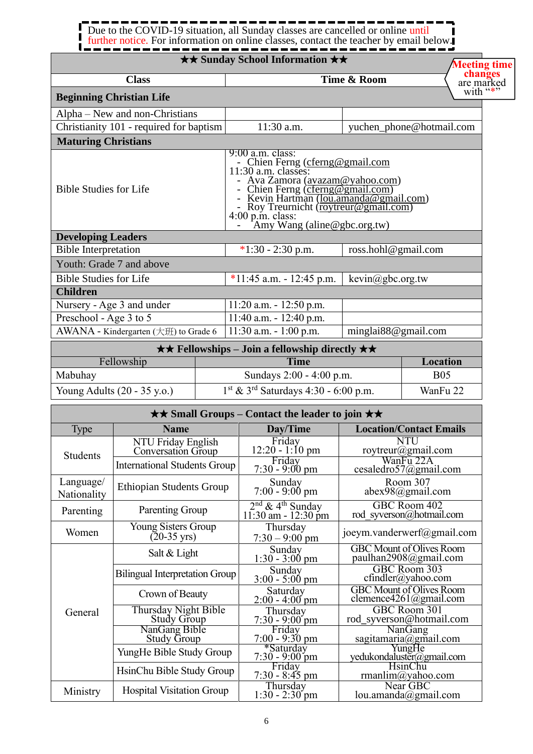# Due to the COVID-19 situation, all Sunday classes are cancelled or online until further notice. For information on online classes, contact the teacher by email below.

#### ★★ **Sunday School Information** ★★

|                               |                                                  | <b>★★ Sunday School Information ★★</b>                                                                                                                                                                                                                                                                               |                            |                                                                  | <b>Meeting time</b>   |
|-------------------------------|--------------------------------------------------|----------------------------------------------------------------------------------------------------------------------------------------------------------------------------------------------------------------------------------------------------------------------------------------------------------------------|----------------------------|------------------------------------------------------------------|-----------------------|
|                               | <b>Class</b>                                     |                                                                                                                                                                                                                                                                                                                      | Time & Room                |                                                                  | changes<br>are marked |
|                               | <b>Beginning Christian Life</b>                  |                                                                                                                                                                                                                                                                                                                      |                            |                                                                  | with "*"              |
|                               | Alpha – New and non-Christians                   |                                                                                                                                                                                                                                                                                                                      |                            |                                                                  |                       |
|                               | Christianity 101 - required for baptism          | 11:30 a.m.                                                                                                                                                                                                                                                                                                           | yuchen_phone@hotmail.com   |                                                                  |                       |
| <b>Maturing Christians</b>    |                                                  |                                                                                                                                                                                                                                                                                                                      |                            |                                                                  |                       |
| <b>Bible Studies for Life</b> |                                                  | $9:00$ a.m. class:<br>- Chien Ferng (cferng@gmail.com<br>11:30 a.m. classes:<br>- Ava Zamora (avazam@yahoo.com)<br>- Chien Ferng (cferng@gmail.com)<br>- Kevin Hartman ( <u>lou.amanda@gmail.com)</u><br>- Roy Treurnicht ( <u>roytreur@gmail.com</u> )<br>$4:00 \text{ p.m. class:}$<br>Amy Wang (aline@gbc.org.tw) |                            |                                                                  |                       |
| <b>Developing Leaders</b>     |                                                  |                                                                                                                                                                                                                                                                                                                      |                            |                                                                  |                       |
| <b>Bible Interpretation</b>   |                                                  | $*1:30 - 2:30$ p.m.                                                                                                                                                                                                                                                                                                  | ross.hohl@gmail.com        |                                                                  |                       |
|                               | Youth: Grade 7 and above                         |                                                                                                                                                                                                                                                                                                                      |                            |                                                                  |                       |
| <b>Bible Studies for Life</b> |                                                  | *11:45 a.m. - 12:45 p.m.                                                                                                                                                                                                                                                                                             | kevin@gbc.org.tw           |                                                                  |                       |
| <b>Children</b>               |                                                  |                                                                                                                                                                                                                                                                                                                      |                            |                                                                  |                       |
|                               | Nursery - Age 3 and under                        | $11:20$ a.m. $-12:50$ p.m.                                                                                                                                                                                                                                                                                           |                            |                                                                  |                       |
| Preschool - Age 3 to 5        |                                                  | $11:40$ a.m. $-12:40$ p.m.                                                                                                                                                                                                                                                                                           |                            |                                                                  |                       |
|                               | AWANA - Kindergarten $(\pm \text{H})$ to Grade 6 | $11:30$ a.m. $-1:00$ p.m.                                                                                                                                                                                                                                                                                            | minglai88@gmail.com        |                                                                  |                       |
|                               |                                                  | $\star \star$ Fellowships – Join a fellowship directly $\star \star$                                                                                                                                                                                                                                                 |                            |                                                                  |                       |
|                               | Fellowship                                       | <b>Time</b>                                                                                                                                                                                                                                                                                                          |                            | Location                                                         |                       |
| Mabuhay                       |                                                  | Sundays 2:00 - 4:00 p.m.                                                                                                                                                                                                                                                                                             |                            | <b>B05</b>                                                       |                       |
|                               | Young Adults (20 - 35 y.o.)                      | 1st & 3rd Saturdays 4:30 - 6:00 p.m.                                                                                                                                                                                                                                                                                 |                            | WanFu 22                                                         |                       |
|                               |                                                  | <b>★★ Small Groups – Contact the leader to join ★★</b>                                                                                                                                                                                                                                                               |                            |                                                                  |                       |
| <b>Type</b>                   | <b>Name</b>                                      | Day/Time                                                                                                                                                                                                                                                                                                             |                            | <b>Location/Contact Emails</b>                                   |                       |
| Students                      | NTU Friday English<br><b>Conversation Group</b>  | Friday<br>$12:20 - 1:10 \text{ pm}$                                                                                                                                                                                                                                                                                  |                            | NTU<br>roytreur@gmail.com                                        |                       |
|                               | <b>International Students Group</b>              | Friday<br>$7:30 - 9:00 \text{ pm}$                                                                                                                                                                                                                                                                                   |                            | WanFu 22A<br>cesaledro57@gmail.com                               |                       |
| Language/<br>Nationality      | <b>Ethiopian Students Group</b>                  | Sunday<br>$7:00 - 9:00$ pm                                                                                                                                                                                                                                                                                           |                            | Room 307<br>abex98@gmail.com                                     |                       |
| Parenting                     | Parenting Group                                  | $2nd$ & 4 <sup>th</sup> Sunday<br>11:30 am - 12:30 pm                                                                                                                                                                                                                                                                |                            | GBC Room 402<br>rod syverson@hotmail.com                         |                       |
| Women                         | Young Sisters Group<br>$(20-35 \text{ yrs})$     | Thursday<br>$7:30 - 9:00$ pm                                                                                                                                                                                                                                                                                         | joeym.vanderwerf@gmail.com |                                                                  |                       |
|                               | Salt $&$ Light                                   | Sunday<br>$1:30 - 3:00$ pm                                                                                                                                                                                                                                                                                           |                            | <b>GBC Mount of Olives Room</b><br>paulhan2908@gmail.com         |                       |
|                               | <b>Bilingual Interpretation Group</b>            | Sunday<br>$3:00 - 5:00$ pm                                                                                                                                                                                                                                                                                           |                            | GBC Room 303<br>$cfindler(a)$ yahoo.com                          |                       |
|                               | Crown of Beauty                                  | Saturday<br>$2:00 - 4:00$ pm                                                                                                                                                                                                                                                                                         |                            | <b>GBC</b> Mount of Olives Room<br>clemence $4261$ @gmail.com    |                       |
| General                       | Thursday Night Bible<br><b>Study Group</b>       | Thursday<br>$7:30 - 9:00$ pm                                                                                                                                                                                                                                                                                         | rod syverson@hotmail.com   | GBC Room 301                                                     |                       |
|                               | NanGang Bible<br><b>Study Group</b>              | Friday<br>$7:00 - 9:30$ pm                                                                                                                                                                                                                                                                                           |                            | <b>NanGang</b><br>sagitamaria@gmail.com                          |                       |
|                               | YungHe Bible Study Group                         | *Saturday                                                                                                                                                                                                                                                                                                            |                            | YungHe                                                           |                       |
|                               | HsinChu Bible Study Group                        | $7:30 - 9:00$ pm<br>Friday<br>$7:30 - 8:45$ pm                                                                                                                                                                                                                                                                       |                            | yedukondaluster@gmail.com<br><b>HsinChu</b><br>rmanlim@yahoo.com |                       |
| Ministry                      | <b>Hospital Visitation Group</b>                 | Thursday<br>$1:30 - 2:30$ pm                                                                                                                                                                                                                                                                                         |                            | Near GBC<br>lou.amanda@gmail.com                                 |                       |